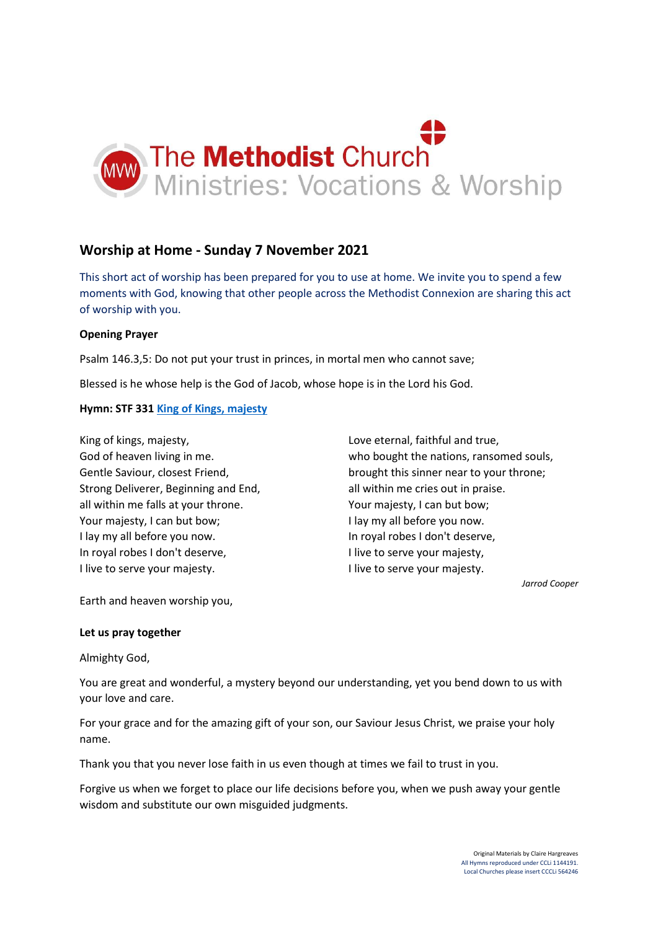

# **Worship at Home - Sunday 7 November 2021**

This short act of worship has been prepared for you to use at home. We invite you to spend a few moments with God, knowing that other people across the Methodist Connexion are sharing this act of worship with you.

## **Opening Prayer**

Psalm 146.3,5: Do not put your trust in princes, in mortal men who cannot save;

Blessed is he whose help is the God of Jacob, whose hope is in the Lord his God.

## **Hymn: STF 331 [King of Kings, majesty](https://www.youtube.com/watch?v=jbZMMd99nM8)**

King of kings, majesty, God of heaven living in me. Gentle Saviour, closest Friend, Strong Deliverer, Beginning and End, all within me falls at your throne. Your majesty, I can but bow; I lay my all before you now. In royal robes I don't deserve, I live to serve your majesty.

Love eternal, faithful and true, who bought the nations, ransomed souls, brought this sinner near to your throne; all within me cries out in praise. Your majesty, I can but bow; I lay my all before you now. In royal robes I don't deserve, I live to serve your majesty, I live to serve your majesty.

*Jarrod Cooper*

Earth and heaven worship you,

#### **Let us pray together**

Almighty God,

You are great and wonderful, a mystery beyond our understanding, yet you bend down to us with your love and care.

For your grace and for the amazing gift of your son, our Saviour Jesus Christ, we praise your holy name.

Thank you that you never lose faith in us even though at times we fail to trust in you.

Forgive us when we forget to place our life decisions before you, when we push away your gentle wisdom and substitute our own misguided judgments.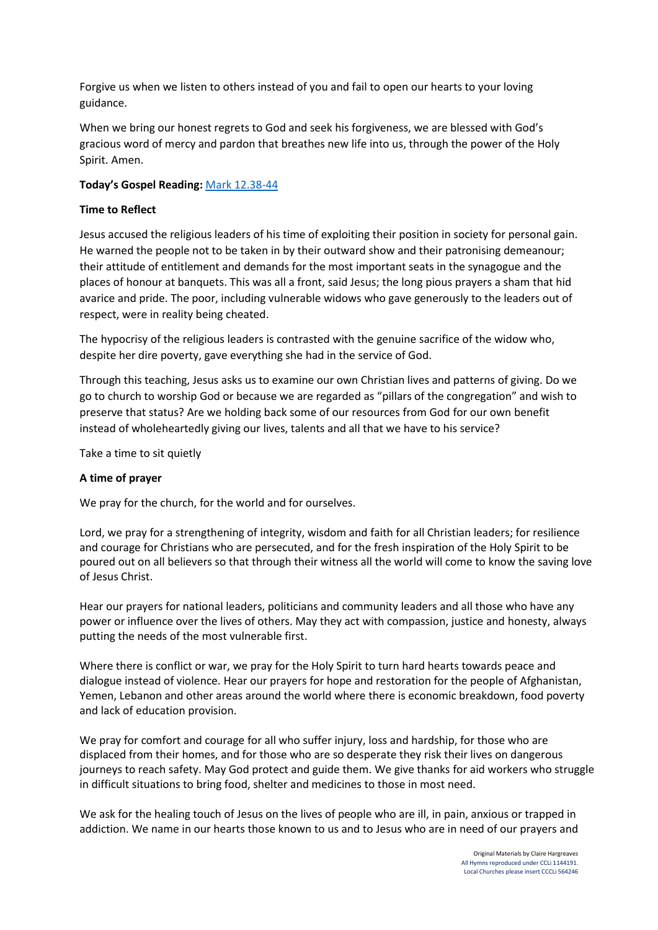Forgive us when we listen to others instead of you and fail to open our hearts to your loving guidance.

When we bring our honest regrets to God and seek his forgiveness, we are blessed with God's gracious word of mercy and pardon that breathes new life into us, through the power of the Holy Spirit. Amen.

# **Today's Gospel Reading:** [Mark 12.38-44](https://www.biblegateway.com/passage/?search=Mark+12.38-44+&version=NIV)

# **Time to Reflect**

Jesus accused the religious leaders of his time of exploiting their position in society for personal gain. He warned the people not to be taken in by their outward show and their patronising demeanour; their attitude of entitlement and demands for the most important seats in the synagogue and the places of honour at banquets. This was all a front, said Jesus; the long pious prayers a sham that hid avarice and pride. The poor, including vulnerable widows who gave generously to the leaders out of respect, were in reality being cheated.

The hypocrisy of the religious leaders is contrasted with the genuine sacrifice of the widow who, despite her dire poverty, gave everything she had in the service of God.

Through this teaching, Jesus asks us to examine our own Christian lives and patterns of giving. Do we go to church to worship God or because we are regarded as "pillars of the congregation" and wish to preserve that status? Are we holding back some of our resources from God for our own benefit instead of wholeheartedly giving our lives, talents and all that we have to his service?

Take a time to sit quietly

# **A time of prayer**

We pray for the church, for the world and for ourselves.

Lord, we pray for a strengthening of integrity, wisdom and faith for all Christian leaders; for resilience and courage for Christians who are persecuted, and for the fresh inspiration of the Holy Spirit to be poured out on all believers so that through their witness all the world will come to know the saving love of Jesus Christ.

Hear our prayers for national leaders, politicians and community leaders and all those who have any power or influence over the lives of others. May they act with compassion, justice and honesty, always putting the needs of the most vulnerable first.

Where there is conflict or war, we pray for the Holy Spirit to turn hard hearts towards peace and dialogue instead of violence. Hear our prayers for hope and restoration for the people of Afghanistan, Yemen, Lebanon and other areas around the world where there is economic breakdown, food poverty and lack of education provision.

We pray for comfort and courage for all who suffer injury, loss and hardship, for those who are displaced from their homes, and for those who are so desperate they risk their lives on dangerous journeys to reach safety. May God protect and guide them. We give thanks for aid workers who struggle in difficult situations to bring food, shelter and medicines to those in most need.

We ask for the healing touch of Jesus on the lives of people who are ill, in pain, anxious or trapped in addiction. We name in our hearts those known to us and to Jesus who are in need of our prayers and